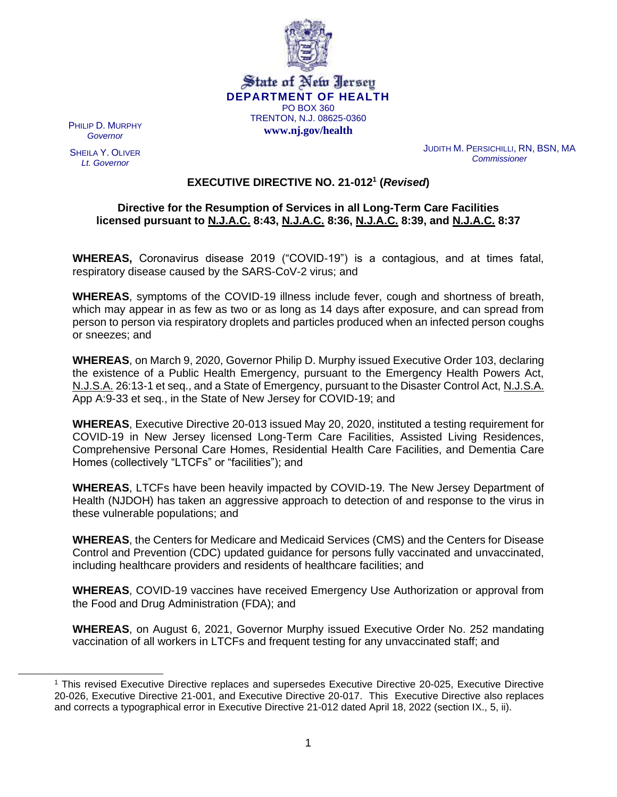

#### State of New Jersey **DEPARTMENT OF HEALTH** PO BOX 360 TRENTON, N.J. 08625-0360 **www.nj.gov/health**

PHILIP D. MURPHY *Governor*

SHEILA Y. OLIVER *Lt. Governor*

JUDITH M. PERSICHILLI, RN, BSN, MA *Commissioner*

# **EXECUTIVE DIRECTIVE NO. 21-012<sup>1</sup> (***Revised***)**

### **Directive for the Resumption of Services in all Long-Term Care Facilities licensed pursuant to N.J.A.C. 8:43, N.J.A.C. 8:36, N.J.A.C. 8:39, and N.J.A.C. 8:37**

**WHEREAS,** Coronavirus disease 2019 ("COVID-19") is a contagious, and at times fatal, respiratory disease caused by the SARS-CoV-2 virus; and

**WHEREAS**, symptoms of the COVID-19 illness include fever, cough and shortness of breath, which may appear in as few as two or as long as 14 days after exposure, and can spread from person to person via respiratory droplets and particles produced when an infected person coughs or sneezes; and

**WHEREAS**, on March 9, 2020, Governor Philip D. Murphy issued Executive Order 103, declaring the existence of a Public Health Emergency, pursuant to the Emergency Health Powers Act, N.J.S.A. 26:13-1 et seq., and a State of Emergency, pursuant to the Disaster Control Act, N.J.S.A. App A:9-33 et seq., in the State of New Jersey for COVID-19; and

**WHEREAS**, Executive Directive 20-013 issued May 20, 2020, instituted a testing requirement for COVID-19 in New Jersey licensed Long-Term Care Facilities, Assisted Living Residences, Comprehensive Personal Care Homes, Residential Health Care Facilities, and Dementia Care Homes (collectively "LTCFs" or "facilities"); and

**WHEREAS**, LTCFs have been heavily impacted by COVID-19. The New Jersey Department of Health (NJDOH) has taken an aggressive approach to detection of and response to the virus in these vulnerable populations; and

**WHEREAS**, the Centers for Medicare and Medicaid Services (CMS) and the Centers for Disease Control and Prevention (CDC) updated guidance for persons fully vaccinated and unvaccinated, including healthcare providers and residents of healthcare facilities; and

**WHEREAS**, COVID-19 vaccines have received Emergency Use Authorization or approval from the Food and Drug Administration (FDA); and

**WHEREAS**, on August 6, 2021, Governor Murphy issued Executive Order No. 252 mandating vaccination of all workers in LTCFs and frequent testing for any unvaccinated staff; and

<sup>1</sup> This revised Executive Directive replaces and supersedes Executive Directive 20-025, Executive Directive 20-026, Executive Directive 21-001, and Executive Directive 20-017. This Executive Directive also replaces and corrects a typographical error in Executive Directive 21-012 dated April 18, 2022 (section IX., 5, ii).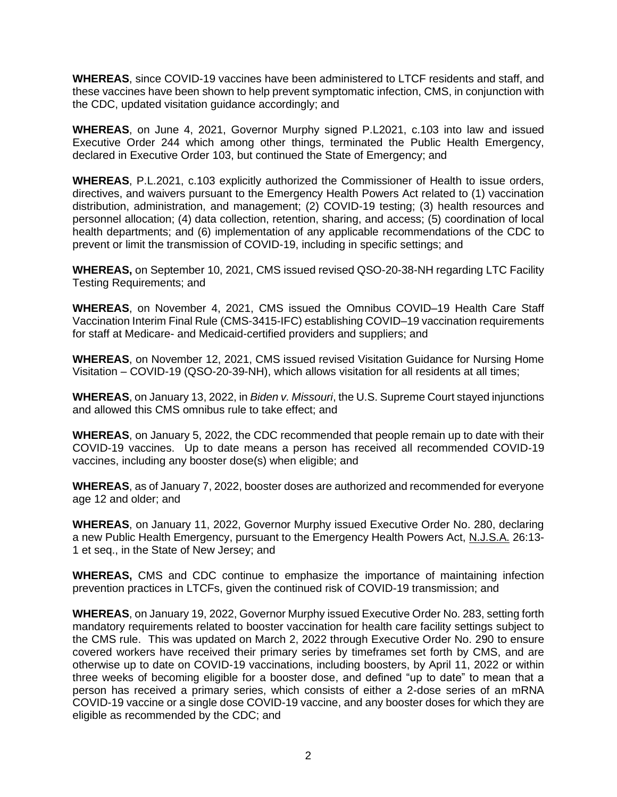**WHEREAS**, since COVID-19 vaccines have been administered to LTCF residents and staff, and these vaccines have been shown to help prevent symptomatic infection, CMS, in conjunction with the CDC, updated visitation guidance accordingly; and

**WHEREAS**, on June 4, 2021, Governor Murphy signed P.L2021, c.103 into law and issued Executive Order 244 which among other things, terminated the Public Health Emergency, declared in Executive Order 103, but continued the State of Emergency; and

**WHEREAS**, P.L.2021, c.103 explicitly authorized the Commissioner of Health to issue orders, directives, and waivers pursuant to the Emergency Health Powers Act related to (1) vaccination distribution, administration, and management; (2) COVID-19 testing; (3) health resources and personnel allocation; (4) data collection, retention, sharing, and access; (5) coordination of local health departments; and (6) implementation of any applicable recommendations of the CDC to prevent or limit the transmission of COVID-19, including in specific settings; and

**WHEREAS,** on September 10, 2021, CMS issued revised QSO-20-38-NH regarding LTC Facility Testing Requirements; and

**WHEREAS**, on November 4, 2021, CMS issued the Omnibus COVID–19 Health Care Staff Vaccination Interim Final Rule (CMS-3415-IFC) establishing COVID–19 vaccination requirements for staff at Medicare- and Medicaid-certified providers and suppliers; and

**WHEREAS**, on November 12, 2021, CMS issued revised Visitation Guidance for Nursing Home Visitation – COVID-19 (QSO-20-39-NH), which allows visitation for all residents at all times;

**WHEREAS**, on January 13, 2022, in *Biden v. Missouri*, the U.S. Supreme Court stayed injunctions and allowed this CMS omnibus rule to take effect; and

**WHEREAS**, on January 5, 2022, the CDC recommended that people remain up to date with their COVID-19 vaccines. Up to date means a person has received all recommended COVID-19 vaccines, including any booster dose(s) when eligible; and

**WHEREAS**, as of January 7, 2022, booster doses are authorized and recommended for everyone age 12 and older; and

**WHEREAS**, on January 11, 2022, Governor Murphy issued Executive Order No. 280, declaring a new Public Health Emergency, pursuant to the Emergency Health Powers Act, N.J.S.A. 26:13- 1 et seq., in the State of New Jersey; and

**WHEREAS,** CMS and CDC continue to emphasize the importance of maintaining infection prevention practices in LTCFs, given the continued risk of COVID-19 transmission; and

**WHEREAS**, on January 19, 2022, Governor Murphy issued Executive Order No. 283, setting forth mandatory requirements related to booster vaccination for health care facility settings subject to the CMS rule. This was updated on March 2, 2022 through Executive Order No. 290 to ensure covered workers have received their primary series by timeframes set forth by CMS, and are otherwise up to date on COVID-19 vaccinations, including boosters, by April 11, 2022 or within three weeks of becoming eligible for a booster dose, and defined "up to date" to mean that a person has received a primary series, which consists of either a 2-dose series of an mRNA COVID-19 vaccine or a single dose COVID-19 vaccine, and any booster doses for which they are eligible as recommended by the CDC; and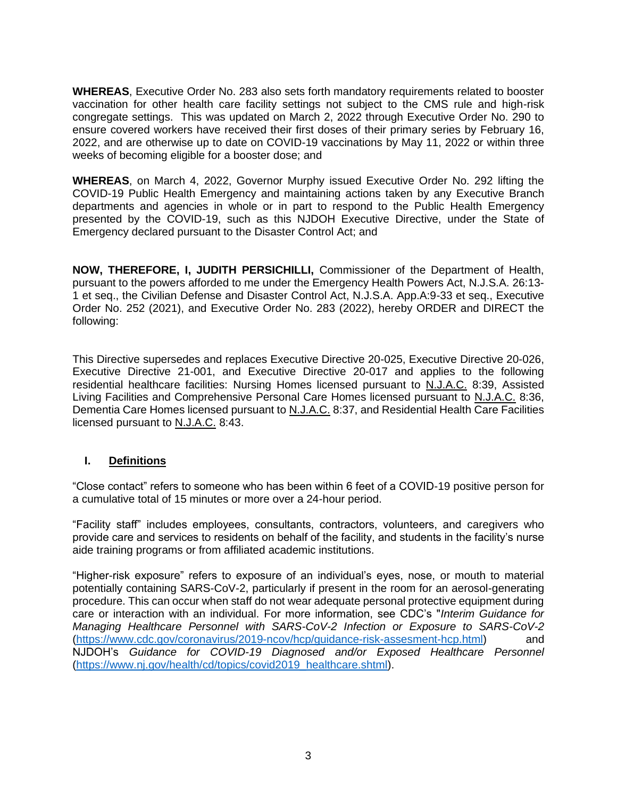**WHEREAS**, Executive Order No. 283 also sets forth mandatory requirements related to booster vaccination for other health care facility settings not subject to the CMS rule and high-risk congregate settings. This was updated on March 2, 2022 through Executive Order No. 290 to ensure covered workers have received their first doses of their primary series by February 16, 2022, and are otherwise up to date on COVID-19 vaccinations by May 11, 2022 or within three weeks of becoming eligible for a booster dose; and

**WHEREAS**, on March 4, 2022, Governor Murphy issued Executive Order No. 292 lifting the COVID-19 Public Health Emergency and maintaining actions taken by any Executive Branch departments and agencies in whole or in part to respond to the Public Health Emergency presented by the COVID-19, such as this NJDOH Executive Directive, under the State of Emergency declared pursuant to the Disaster Control Act; and

**NOW, THEREFORE, I, JUDITH PERSICHILLI,** Commissioner of the Department of Health, pursuant to the powers afforded to me under the Emergency Health Powers Act, N.J.S.A. 26:13- 1 et seq., the Civilian Defense and Disaster Control Act, N.J.S.A. App.A:9-33 et seq., Executive Order No. 252 (2021), and Executive Order No. 283 (2022), hereby ORDER and DIRECT the following:

This Directive supersedes and replaces Executive Directive 20-025, Executive Directive 20-026, Executive Directive 21-001, and Executive Directive 20-017 and applies to the following residential healthcare facilities: Nursing Homes licensed pursuant to N.J.A.C. 8:39, Assisted Living Facilities and Comprehensive Personal Care Homes licensed pursuant to N.J.A.C. 8:36, Dementia Care Homes licensed pursuant to N.J.A.C. 8:37, and Residential Health Care Facilities licensed pursuant to N.J.A.C. 8:43.

### **I. Definitions**

"Close contact" refers to someone who has been within 6 feet of a COVID-19 positive person for a cumulative total of 15 minutes or more over a 24-hour period.

"Facility staff" includes employees, consultants, contractors, volunteers, and caregivers who provide care and services to residents on behalf of the facility, and students in the facility's nurse aide training programs or from affiliated academic institutions.

"Higher-risk exposure" refers to exposure of an individual's eyes, nose, or mouth to material potentially containing SARS-CoV-2, particularly if present in the room for an aerosol-generating procedure. This can occur when staff do not wear adequate personal protective equipment during care or interaction with an individual. For more information, see CDC's "*Interim Guidance for Managing Healthcare Personnel with SARS-CoV-2 Infection or Exposure to SARS-CoV-2* [\(https://www.cdc.gov/coronavirus/2019-ncov/hcp/guidance-risk-assesment-hcp.html\)](https://www.cdc.gov/coronavirus/2019-ncov/hcp/guidance-risk-assesment-hcp.html) and NJDOH's *Guidance for COVID-19 Diagnosed and/or Exposed Healthcare Personnel* [\(https://www.nj.gov/health/cd/topics/covid2019\\_healthcare.shtml\)](https://www.nj.gov/health/cd/topics/covid2019_healthcare.shtml).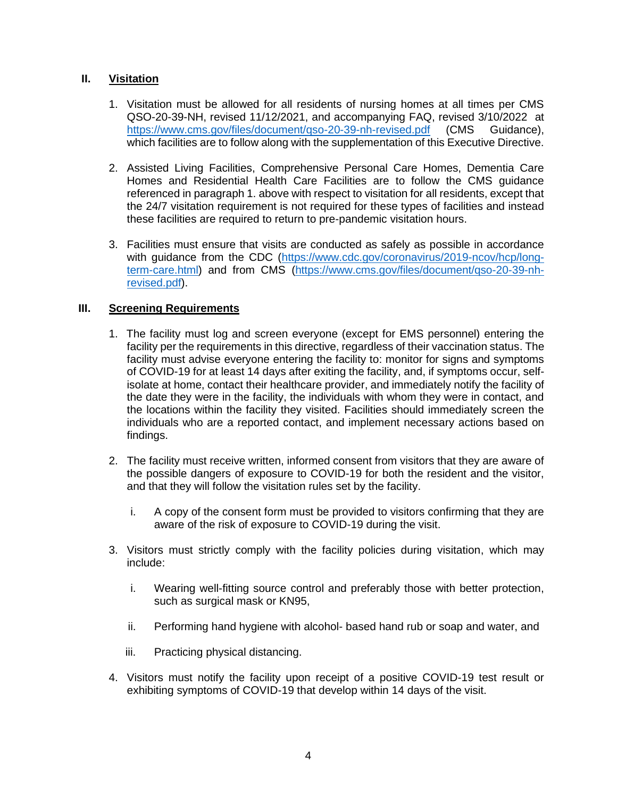# **II. Visitation**

- 1. Visitation must be allowed for all residents of nursing homes at all times per CMS QSO-20-39-NH, revised 11/12/2021, and accompanying FAQ, revised 3/10/2022 at https://www.cms.gov/files/document/gso-20-39-nh-revised.pdf (CMS Guidance), which facilities are to follow along with the supplementation of this Executive Directive.
- 2. Assisted Living Facilities, Comprehensive Personal Care Homes, Dementia Care Homes and Residential Health Care Facilities are to follow the CMS guidance referenced in paragraph 1. above with respect to visitation for all residents, except that the 24/7 visitation requirement is not required for these types of facilities and instead these facilities are required to return to pre-pandemic visitation hours.
- 3. Facilities must ensure that visits are conducted as safely as possible in accordance with guidance from the CDC [\(https://www.cdc.gov/coronavirus/2019-ncov/hcp/long](https://www.cdc.gov/coronavirus/2019-ncov/hcp/long-term-care.html)[term-care.html\)](https://www.cdc.gov/coronavirus/2019-ncov/hcp/long-term-care.html) and from CMS [\(https://www.cms.gov/files/document/qso-20-39-nh](https://www.cms.gov/files/document/qso-20-39-nh-revised.pdf)[revised.pdf\)](https://www.cms.gov/files/document/qso-20-39-nh-revised.pdf).

# **III. Screening Requirements**

- 1. The facility must log and screen everyone (except for EMS personnel) entering the facility per the requirements in this directive, regardless of their vaccination status. The facility must advise everyone entering the facility to: monitor for signs and symptoms of COVID-19 for at least 14 days after exiting the facility, and, if symptoms occur, selfisolate at home, contact their healthcare provider, and immediately notify the facility of the date they were in the facility, the individuals with whom they were in contact, and the locations within the facility they visited. Facilities should immediately screen the individuals who are a reported contact, and implement necessary actions based on findings.
- 2. The facility must receive written, informed consent from visitors that they are aware of the possible dangers of exposure to COVID-19 for both the resident and the visitor, and that they will follow the visitation rules set by the facility.
	- i. A copy of the consent form must be provided to visitors confirming that they are aware of the risk of exposure to COVID-19 during the visit.
- 3. Visitors must strictly comply with the facility policies during visitation, which may include:
	- i. Wearing well-fitting source control and preferably those with better protection, such as surgical mask or KN95,
	- ii. Performing hand hygiene with alcohol- based hand rub or soap and water, and
	- iii. Practicing physical distancing.
- 4. Visitors must notify the facility upon receipt of a positive COVID-19 test result or exhibiting symptoms of COVID-19 that develop within 14 days of the visit.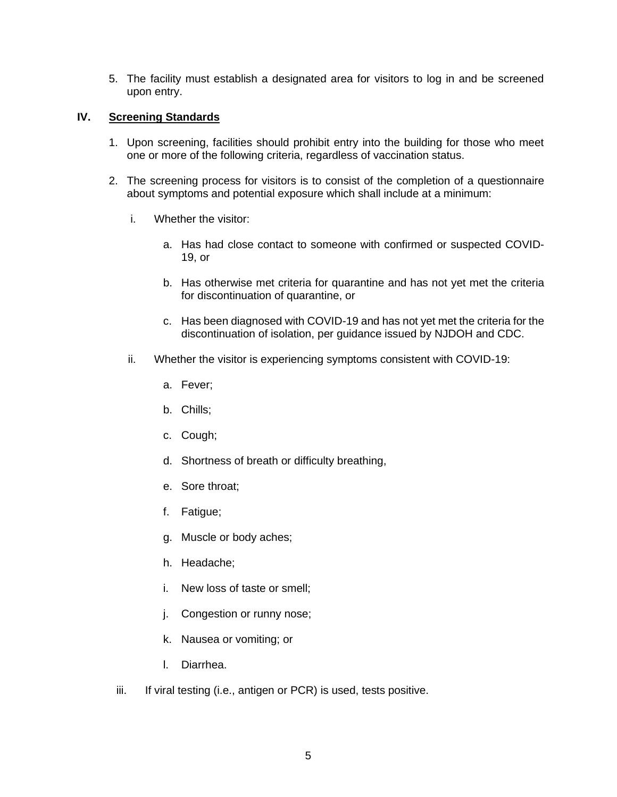5. The facility must establish a designated area for visitors to log in and be screened upon entry.

### **IV. Screening Standards**

- 1. Upon screening, facilities should prohibit entry into the building for those who meet one or more of the following criteria, regardless of vaccination status.
- 2. The screening process for visitors is to consist of the completion of a questionnaire about symptoms and potential exposure which shall include at a minimum:
	- i. Whether the visitor:
		- a. Has had close contact to someone with confirmed or suspected COVID-19, or
		- b. Has otherwise met criteria for quarantine and has not yet met the criteria for discontinuation of quarantine, or
		- c. Has been diagnosed with COVID-19 and has not yet met the criteria for the discontinuation of isolation, per guidance issued by NJDOH and CDC.
	- ii. Whether the visitor is experiencing symptoms consistent with COVID-19:
		- a. Fever;
		- b. Chills;
		- c. Cough;
		- d. Shortness of breath or difficulty breathing,
		- e. Sore throat;
		- f. Fatigue;
		- g. Muscle or body aches;
		- h. Headache;
		- i. New loss of taste or smell;
		- j. Congestion or runny nose;
		- k. Nausea or vomiting; or
		- l. Diarrhea.
	- iii. If viral testing (i.e., antigen or PCR) is used, tests positive.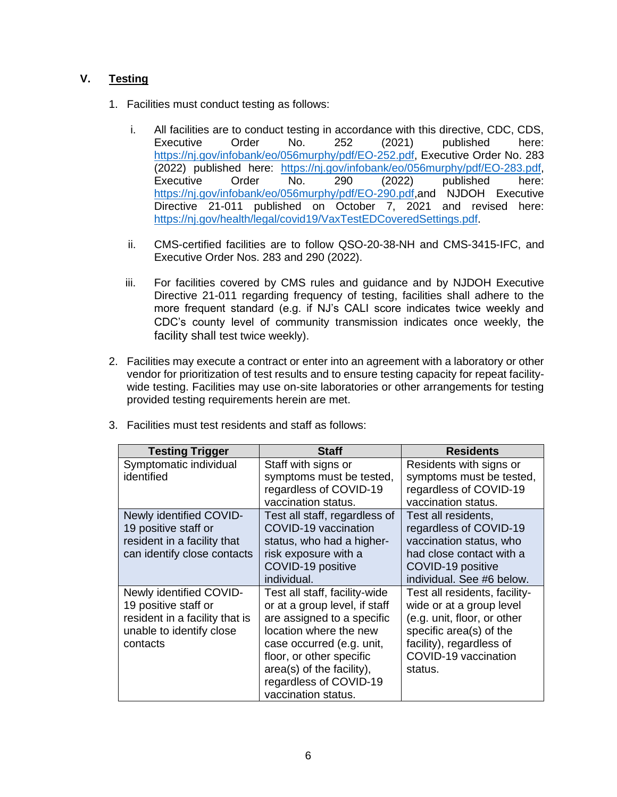# **V. Testing**

- 1. Facilities must conduct testing as follows:
	- i. All facilities are to conduct testing in accordance with this directive, CDC, CDS, Executive Order No. 252 (2021) published here: [https://nj.gov/infobank/eo/056murphy/pdf/EO-252.pdf,](https://nj.gov/infobank/eo/056murphy/pdf/EO-252.pdf) Executive Order No. 283 (2022) published here: [https://nj.gov/infobank/eo/056murphy/pdf/EO-283.pdf,](https://nj.gov/infobank/eo/056murphy/pdf/EO-283.pdf) Executive Order No. 290 (2022) published here: [https://nj.gov/infobank/eo/056murphy/pdf/EO-290.pdf,](https://nj.gov/infobank/eo/056murphy/pdf/EO-290.pdf)and NJDOH Executive Directive 21-011 published on October 7, 2021 and revised here: [https://nj.gov/health/legal/covid19/VaxTestEDCoveredSettings.pdf.](https://nj.gov/health/legal/covid19/VaxTestEDCoveredSettings.pdf)
	- ii. CMS-certified facilities are to follow QSO-20-38-NH and CMS-3415-IFC, and Executive Order Nos. 283 and 290 (2022).
	- iii. For facilities covered by CMS rules and guidance and by NJDOH Executive Directive 21-011 regarding frequency of testing, facilities shall adhere to the more frequent standard (e.g. if NJ's CALI score indicates twice weekly and CDC's county level of community transmission indicates once weekly, the facility shall test twice weekly).
- 2. Facilities may execute a contract or enter into an agreement with a laboratory or other vendor for prioritization of test results and to ensure testing capacity for repeat facilitywide testing. Facilities may use on-site laboratories or other arrangements for testing provided testing requirements herein are met.

| <b>Testing Trigger</b>                                                                                                    | Staff                                                                                                                                                                                                                                                         | <b>Residents</b>                                                                                                                                                                   |
|---------------------------------------------------------------------------------------------------------------------------|---------------------------------------------------------------------------------------------------------------------------------------------------------------------------------------------------------------------------------------------------------------|------------------------------------------------------------------------------------------------------------------------------------------------------------------------------------|
| Symptomatic individual<br>identified                                                                                      | Staff with signs or<br>symptoms must be tested,<br>regardless of COVID-19<br>vaccination status.                                                                                                                                                              | Residents with signs or<br>symptoms must be tested,<br>regardless of COVID-19<br>vaccination status.                                                                               |
| Newly identified COVID-<br>19 positive staff or<br>resident in a facility that<br>can identify close contacts             | Test all staff, regardless of<br>COVID-19 vaccination<br>status, who had a higher-<br>risk exposure with a<br>COVID-19 positive<br>individual.                                                                                                                | Test all residents,<br>regardless of COVID-19<br>vaccination status, who<br>had close contact with a<br>COVID-19 positive<br>individual. See #6 below.                             |
| Newly identified COVID-<br>19 positive staff or<br>resident in a facility that is<br>unable to identify close<br>contacts | Test all staff, facility-wide<br>or at a group level, if staff<br>are assigned to a specific<br>location where the new<br>case occurred (e.g. unit,<br>floor, or other specific<br>area(s) of the facility),<br>regardless of COVID-19<br>vaccination status. | Test all residents, facility-<br>wide or at a group level<br>(e.g. unit, floor, or other<br>specific area(s) of the<br>facility), regardless of<br>COVID-19 vaccination<br>status. |

3. Facilities must test residents and staff as follows: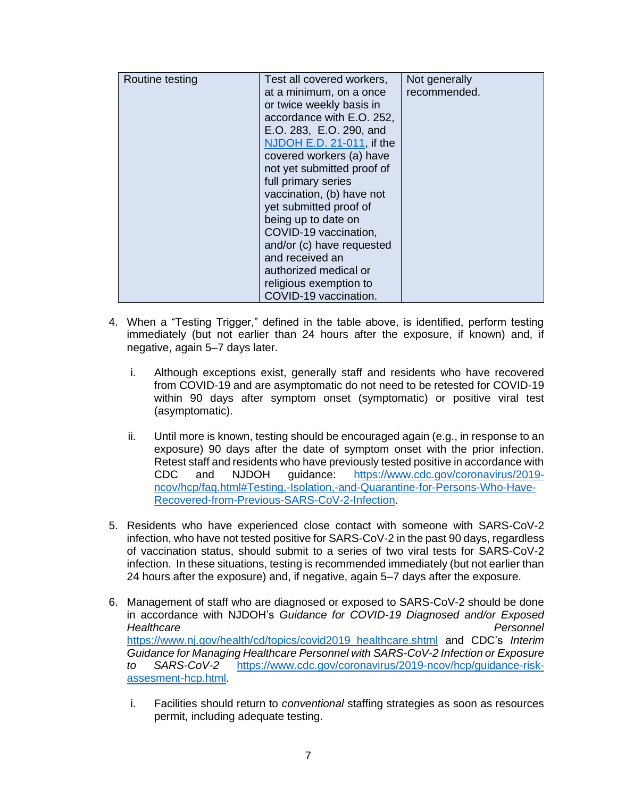| Routine testing | Test all covered workers,  | Not generally |
|-----------------|----------------------------|---------------|
|                 | at a minimum, on a once    | recommended.  |
|                 | or twice weekly basis in   |               |
|                 | accordance with E.O. 252,  |               |
|                 | E.O. 283, E.O. 290, and    |               |
|                 | NJDOH E.D. 21-011, if the  |               |
|                 | covered workers (a) have   |               |
|                 | not yet submitted proof of |               |
|                 | full primary series        |               |
|                 | vaccination, (b) have not  |               |
|                 | yet submitted proof of     |               |
|                 | being up to date on        |               |
|                 | COVID-19 vaccination,      |               |
|                 | and/or (c) have requested  |               |
|                 | and received an            |               |
|                 | authorized medical or      |               |
|                 | religious exemption to     |               |
|                 | COVID-19 vaccination.      |               |

- 4. When a "Testing Trigger," defined in the table above, is identified, perform testing immediately (but not earlier than 24 hours after the exposure, if known) and, if negative, again 5–7 days later.
	- i. Although exceptions exist, generally staff and residents who have recovered from COVID-19 and are asymptomatic do not need to be retested for COVID-19 within 90 days after symptom onset (symptomatic) or positive viral test (asymptomatic).
	- ii. Until more is known, testing should be encouraged again (e.g., in response to an exposure) 90 days after the date of symptom onset with the prior infection. Retest staff and residents who have previously tested positive in accordance with CDC and NJDOH guidance: [https://www.cdc.gov/coronavirus/2019](https://www.cdc.gov/coronavirus/2019-ncov/hcp/faq.html#Testing,-Isolation,-and-Quarantine-for-Persons-Who-Have-Recovered-from-Previous-SARS-CoV-2-Infection) [ncov/hcp/faq.html#Testing,-Isolation,-and-Quarantine-for-Persons-Who-Have-](https://www.cdc.gov/coronavirus/2019-ncov/hcp/faq.html#Testing,-Isolation,-and-Quarantine-for-Persons-Who-Have-Recovered-from-Previous-SARS-CoV-2-Infection)[Recovered-from-Previous-SARS-CoV-2-Infection.](https://www.cdc.gov/coronavirus/2019-ncov/hcp/faq.html#Testing,-Isolation,-and-Quarantine-for-Persons-Who-Have-Recovered-from-Previous-SARS-CoV-2-Infection)
- 5. Residents who have experienced close contact with someone with SARS-CoV-2 infection, who have not tested positive for SARS-CoV-2 in the past 90 days, regardless of vaccination status, should submit to a series of two viral tests for SARS-CoV-2 infection. In these situations, testing is recommended immediately (but not earlier than 24 hours after the exposure) and, if negative, again 5–7 days after the exposure.
- 6. Management of staff who are diagnosed or exposed to SARS-CoV-2 should be done in accordance with NJDOH's *Guidance for COVID-19 Diagnosed and/or Exposed Healthcare* Personnel [https://www.nj.gov/health/cd/topics/covid2019\\_healthcare.shtml](https://www.nj.gov/health/cd/topics/covid2019_healthcare.shtml) and CDC's *Interim Guidance for Managing Healthcare Personnel with SARS-CoV-2 Infection or Exposure to SARS-CoV-2* [https://www.cdc.gov/coronavirus/2019-ncov/hcp/guidance-risk](https://www.cdc.gov/coronavirus/2019-ncov/hcp/guidance-risk-assesment-hcp.html)[assesment-hcp.html.](https://www.cdc.gov/coronavirus/2019-ncov/hcp/guidance-risk-assesment-hcp.html)
	- i. Facilities should return to *conventional* staffing strategies as soon as resources permit, including adequate testing.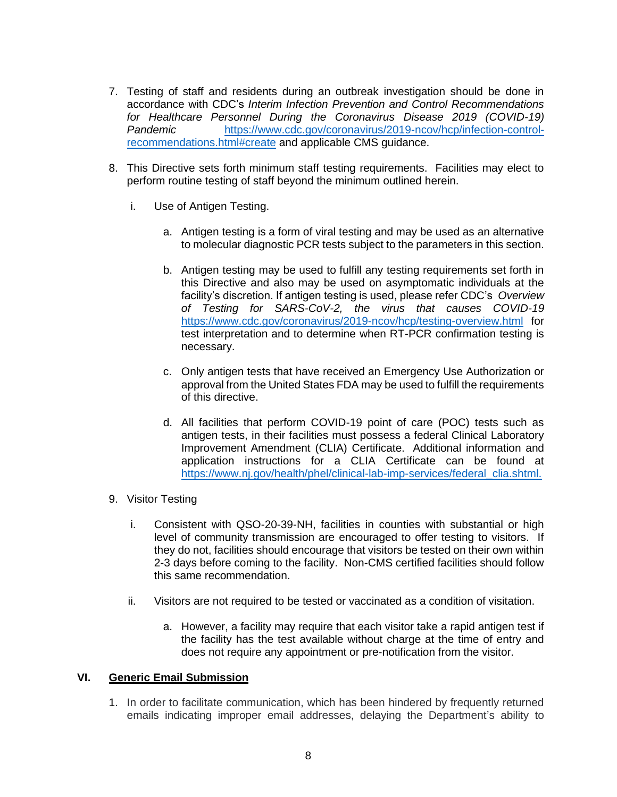- 7. Testing of staff and residents during an outbreak investigation should be done in accordance with CDC's *Interim Infection Prevention and Control Recommendations*  for Healthcare Personnel During the Coronavirus Disease 2019 (COVID-19) *Pandemic* [https://www.cdc.gov/coronavirus/2019-ncov/hcp/infection-control](https://www.cdc.gov/coronavirus/2019-ncov/hcp/infection-control-recommendations.html#create)[recommendations.html#create](https://www.cdc.gov/coronavirus/2019-ncov/hcp/infection-control-recommendations.html#create) and applicable CMS guidance.
- 8. This Directive sets forth minimum staff testing requirements. Facilities may elect to perform routine testing of staff beyond the minimum outlined herein.
	- i. Use of Antigen Testing.
		- a. Antigen testing is a form of viral testing and may be used as an alternative to molecular diagnostic PCR tests subject to the parameters in this section.
		- b. Antigen testing may be used to fulfill any testing requirements set forth in this Directive and also may be used on asymptomatic individuals at the facility's discretion. If antigen testing is used, please refer CDC's *Overview of Testing for SARS-CoV-2, the virus that causes COVID-19* <https://www.cdc.gov/coronavirus/2019-ncov/hcp/testing-overview.html> for test interpretation and to determine when RT-PCR confirmation testing is necessary.
		- c. Only antigen tests that have received an Emergency Use Authorization or approval from the United States FDA may be used to fulfill the requirements of this directive.
		- d. All facilities that perform COVID-19 point of care (POC) tests such as antigen tests, in their facilities must possess a federal Clinical Laboratory Improvement Amendment (CLIA) Certificate. Additional information and application instructions for a CLIA Certificate can be found at [https://www.nj.gov/health/phel/clinical-lab-imp-services/federal\\_clia.shtml.](https://www.nj.gov/health/phel/clinical-lab-imp-services/federal_clia.shtml)
- 9. Visitor Testing
	- i. Consistent with QSO-20-39-NH, facilities in counties with substantial or high level of community transmission are encouraged to offer testing to visitors. If they do not, facilities should encourage that visitors be tested on their own within 2-3 days before coming to the facility. Non-CMS certified facilities should follow this same recommendation.
	- ii. Visitors are not required to be tested or vaccinated as a condition of visitation.
		- a. However, a facility may require that each visitor take a rapid antigen test if the facility has the test available without charge at the time of entry and does not require any appointment or pre-notification from the visitor.

#### **VI. Generic Email Submission**

1. In order to facilitate communication, which has been hindered by frequently returned emails indicating improper email addresses, delaying the Department's ability to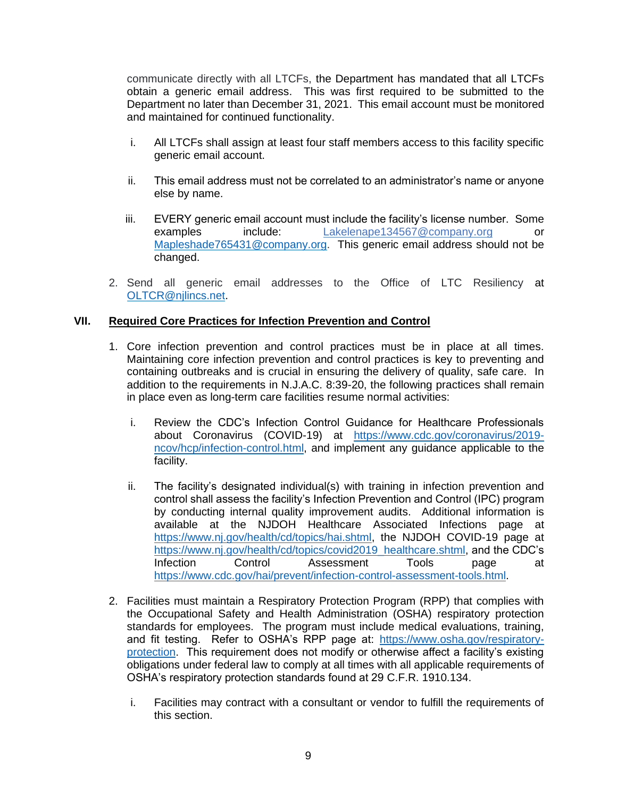communicate directly with all LTCFs, the Department has mandated that all LTCFs obtain a generic email address. This was first required to be submitted to the Department no later than December 31, 2021. This email account must be monitored and maintained for continued functionality.

- i. All LTCFs shall assign at least four staff members access to this facility specific generic email account.
- ii. This email address must not be correlated to an administrator's name or anyone else by name.
- iii. EVERY generic email account must include the facility's license number. Some examples include: [Lakelenape134567@company.org](mailto:Lakelenape134567@comcast.net) or [Mapleshade765431@company.org.](mailto:Mapleshade765431@gmail.com) This generic email address should not be changed.
- 2. Send all generic email addresses to the Office of LTC Resiliency [at](mailto:at%20OLTCR@njlincs.net) [OLTCR@njlincs.net.](mailto:at%20OLTCR@njlincs.net)

# **VII. Required Core Practices for Infection Prevention and Control**

- 1. Core infection prevention and control practices must be in place at all times. Maintaining core infection prevention and control practices is key to preventing and containing outbreaks and is crucial in ensuring the delivery of quality, safe care. In addition to the requirements in N.J.A.C. 8:39-20, the following practices shall remain in place even as long-term care facilities resume normal activities:
	- i. Review the CDC's Infection Control Guidance for Healthcare Professionals about Coronavirus (COVID-19) at [https://www.cdc.gov/coronavirus/2019](https://www.cdc.gov/coronavirus/2019-ncov/hcp/infection-control.html) [ncov/hcp/infection-control.html,](https://www.cdc.gov/coronavirus/2019-ncov/hcp/infection-control.html) and implement any guidance applicable to the facility.
	- ii. The facility's designated individual(s) with training in infection prevention and control shall assess the facility's Infection Prevention and Control (IPC) program by conducting internal quality improvement audits. Additional information is available at the NJDOH Healthcare Associated Infections page at [https://www.nj.gov/health/cd/topics/hai.shtml,](https://www.nj.gov/health/cd/topics/hai.shtml) the NJDOH COVID-19 page at [https://www.nj.gov/health/cd/topics/covid2019\\_healthcare.shtml,](https://www.nj.gov/health/cd/topics/covid2019_healthcare.shtml) and the CDC's Infection Control Assessment Tools page at [https://www.cdc.gov/hai/prevent/infection-control-assessment-tools.html.](https://www.cdc.gov/hai/prevent/infection-control-assessment-tools.html)
- 2. Facilities must maintain a Respiratory Protection Program (RPP) that complies with the Occupational Safety and Health Administration (OSHA) respiratory protection standards for employees. The program must include medical evaluations, training, and fit testing. Refer to OSHA's RPP page at: [https://www.osha.gov/respiratory](https://www.osha.gov/respiratory-protection)[protection.](https://www.osha.gov/respiratory-protection) This requirement does not modify or otherwise affect a facility's existing obligations under federal law to comply at all times with all applicable requirements of OSHA's respiratory protection standards found at 29 C.F.R. 1910.134.
	- i. Facilities may contract with a consultant or vendor to fulfill the requirements of this section.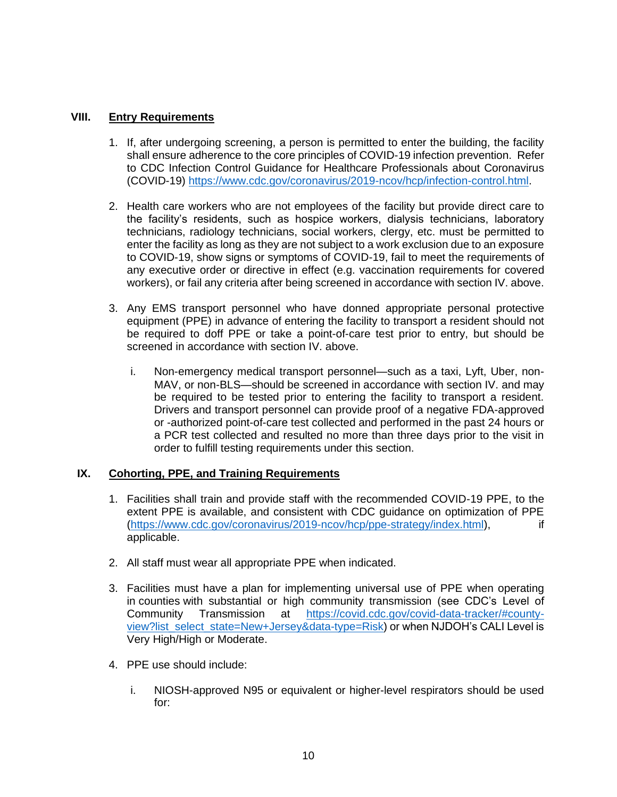## **VIII. Entry Requirements**

- 1. If, after undergoing screening, a person is permitted to enter the building, the facility shall ensure adherence to the core principles of COVID-19 infection prevention. Refer to CDC Infection Control Guidance for Healthcare Professionals about Coronavirus (COVID-19) [https://www.cdc.gov/coronavirus/2019-ncov/hcp/infection-control.html.](https://www.cdc.gov/coronavirus/2019-ncov/hcp/infection-control.html)
- 2. Health care workers who are not employees of the facility but provide direct care to the facility's residents, such as hospice workers, dialysis technicians, laboratory technicians, radiology technicians, social workers, clergy, etc. must be permitted to enter the facility as long as they are not subject to a work exclusion due to an exposure to COVID-19, show signs or symptoms of COVID-19, fail to meet the requirements of any executive order or directive in effect (e.g. vaccination requirements for covered workers), or fail any criteria after being screened in accordance with section IV. above.
- 3. Any EMS transport personnel who have donned appropriate personal protective equipment (PPE) in advance of entering the facility to transport a resident should not be required to doff PPE or take a point-of-care test prior to entry, but should be screened in accordance with section IV. above.
	- i. Non-emergency medical transport personnel—such as a taxi, Lyft, Uber, non-MAV, or non-BLS—should be screened in accordance with section IV. and may be required to be tested prior to entering the facility to transport a resident. Drivers and transport personnel can provide proof of a negative FDA-approved or -authorized point-of-care test collected and performed in the past 24 hours or a PCR test collected and resulted no more than three days prior to the visit in order to fulfill testing requirements under this section.

### **IX. Cohorting, PPE, and Training Requirements**

- 1. Facilities shall train and provide staff with the recommended COVID-19 PPE, to the extent PPE is available, and consistent with CDC guidance on optimization of PPE [\(https://www.cdc.gov/coronavirus/2019-ncov/hcp/ppe-strategy/index.html\)](https://www.cdc.gov/coronavirus/2019-ncov/hcp/ppe-strategy/index.html), if applicable.
- 2. All staff must wear all appropriate PPE when indicated.
- 3. Facilities must have a plan for implementing universal use of PPE when operating in counties with substantial or high community transmission (see CDC's Level of Community Transmission at [https://covid.cdc.gov/covid-data-tracker/#county](https://covid.cdc.gov/covid-data-tracker/#county-view?list_select_state=New+Jersey&data-type=Risk)[view?list\\_select\\_state=New+Jersey&data-type=Risk\)](https://covid.cdc.gov/covid-data-tracker/#county-view?list_select_state=New+Jersey&data-type=Risk) or when NJDOH's CALI Level is Very High/High or Moderate.
- 4. PPE use should include:
	- i. NIOSH-approved N95 or equivalent or higher-level respirators should be used for: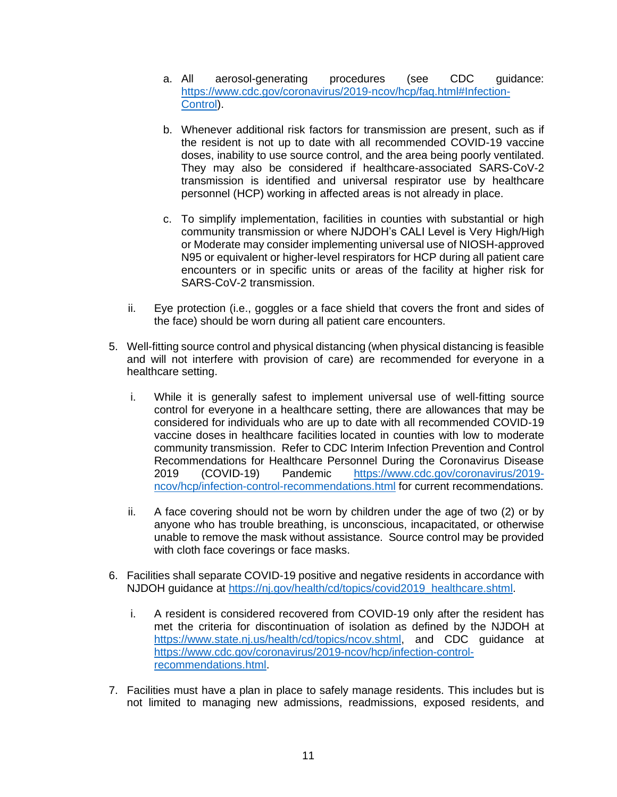- a. All aerosol-generating procedures (see CDC guidance: [https://www.cdc.gov/coronavirus/2019-ncov/hcp/faq.html#Infection-](https://www.cdc.gov/coronavirus/2019-ncov/hcp/faq.html#Infection-Control)[Control\)](https://www.cdc.gov/coronavirus/2019-ncov/hcp/faq.html#Infection-Control).
- b. Whenever additional risk factors for transmission are present, such as if the resident is not up to date with all recommended COVID-19 vaccine doses, inability to use source control, and the area being poorly ventilated. They may also be considered if healthcare-associated SARS-CoV-2 transmission is identified and universal respirator use by healthcare personnel (HCP) working in affected areas is not already in place.
- c. To simplify implementation, facilities in counties with substantial or high community transmission or where NJDOH's CALI Level is Very High/High or Moderate may consider implementing universal use of NIOSH-approved N95 or equivalent or higher-level respirators for HCP during all patient care encounters or in specific units or areas of the facility at higher risk for SARS-CoV-2 transmission.
- ii. Eye protection (i.e., goggles or a face shield that covers the front and sides of the face) should be worn during all patient care encounters.
- 5. Well-fitting source control and physical distancing (when physical distancing is feasible and will not interfere with provision of care) are recommended for everyone in a healthcare setting.
	- i. While it is generally safest to implement universal use of well-fitting source control for everyone in a healthcare setting, there are allowances that may be considered for individuals who are up to date with all recommended COVID-19 vaccine doses in healthcare facilities located in counties with low to moderate community transmission. Refer to CDC Interim Infection Prevention and Control Recommendations for Healthcare Personnel During the Coronavirus Disease 2019 (COVID-19) Pandemic [https://www.cdc.gov/coronavirus/2019](https://www.cdc.gov/coronavirus/2019-ncov/hcp/infection-control-recommendations.html) [ncov/hcp/infection-control-recommendations.html](https://www.cdc.gov/coronavirus/2019-ncov/hcp/infection-control-recommendations.html) for current recommendations.
	- ii. A face covering should not be worn by children under the age of two (2) or by anyone who has trouble breathing, is unconscious, incapacitated, or otherwise unable to remove the mask without assistance. Source control may be provided with cloth face coverings or face masks.
- 6. Facilities shall separate COVID-19 positive and negative residents in accordance with NJDOH guidance at [https://nj.gov/health/cd/topics/covid2019\\_healthcare.shtml.](https://nj.gov/health/cd/topics/covid2019_healthcare.shtml)
	- i. A resident is considered recovered from COVID-19 only after the resident has met the criteria for discontinuation of isolation as defined by the NJDOH at [https://www.state.nj.us/health/cd/topics/ncov.shtml,](https://www.state.nj.us/health/cd/topics/ncov.shtml) and CDC guidance at [https://www.cdc.gov/coronavirus/2019-ncov/hcp/infection-control](https://www.cdc.gov/coronavirus/2019-ncov/hcp/infection-control-recommendations.html)[recommendations.html.](https://www.cdc.gov/coronavirus/2019-ncov/hcp/infection-control-recommendations.html)
- 7. Facilities must have a plan in place to safely manage residents. This includes but is not limited to managing new admissions, readmissions, exposed residents, and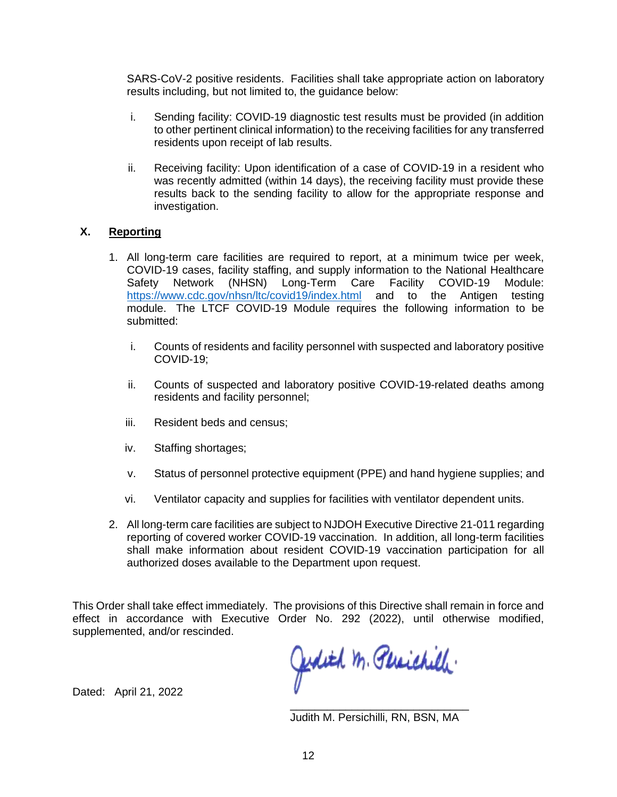SARS-CoV-2 positive residents. Facilities shall take appropriate action on laboratory results including, but not limited to, the guidance below:

- i. Sending facility: COVID-19 diagnostic test results must be provided (in addition to other pertinent clinical information) to the receiving facilities for any transferred residents upon receipt of lab results.
- ii. Receiving facility: Upon identification of a case of COVID-19 in a resident who was recently admitted (within 14 days), the receiving facility must provide these results back to the sending facility to allow for the appropriate response and investigation.

### **X. Reporting**

- 1. All long-term care facilities are required to report, at a minimum twice per week, COVID-19 cases, facility staffing, and supply information to the National Healthcare Safety Network (NHSN) Long-Term Care Facility COVID-19 Module: <https://www.cdc.gov/nhsn/ltc/covid19/index.html> and to the Antigen testing module. The LTCF COVID-19 Module requires the following information to be submitted:
	- i. Counts of residents and facility personnel with suspected and laboratory positive COVID-19;
	- ii. Counts of suspected and laboratory positive COVID-19-related deaths among residents and facility personnel;
	- iii. Resident beds and census;
	- iv. Staffing shortages;
	- v. Status of personnel protective equipment (PPE) and hand hygiene supplies; and
	- vi. Ventilator capacity and supplies for facilities with ventilator dependent units.
- 2. All long-term care facilities are subject to NJDOH Executive Directive 21-011 regarding reporting of covered worker COVID-19 vaccination. In addition, all long-term facilities shall make information about resident COVID-19 vaccination participation for all authorized doses available to the Department upon request.

This Order shall take effect immediately. The provisions of this Directive shall remain in force and effect in accordance with Executive Order No. 292 (2022), until otherwise modified, supplemented, and/or rescinded.

Jedith M. Persichilli.

Dated: April 21, 2022

\_\_\_\_\_\_\_\_\_\_\_\_\_\_\_\_\_\_\_\_\_\_\_\_\_\_\_\_\_ Judith M. Persichilli, RN, BSN, MA